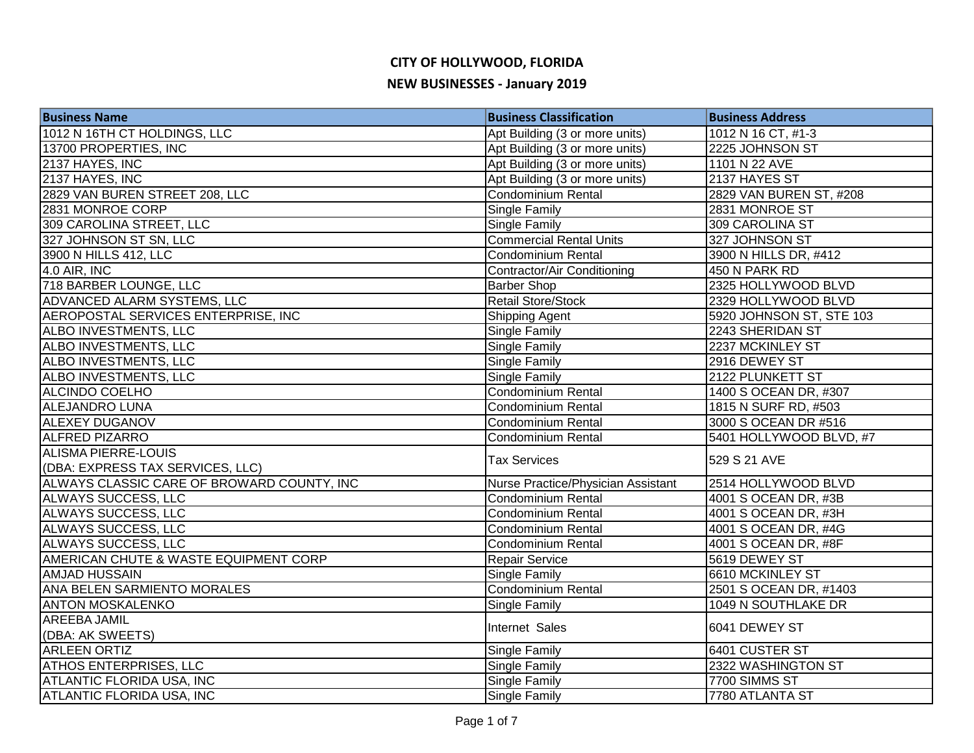| <b>Business Name</b>                       | <b>Business Classification</b>     | <b>Business Address</b>  |
|--------------------------------------------|------------------------------------|--------------------------|
| 1012 N 16TH CT HOLDINGS, LLC               | Apt Building (3 or more units)     | 1012 N 16 CT, #1-3       |
| 13700 PROPERTIES, INC                      | Apt Building (3 or more units)     | 2225 JOHNSON ST          |
| 2137 HAYES, INC                            | Apt Building (3 or more units)     | 1101 N 22 AVE            |
| 2137 HAYES, INC                            | Apt Building (3 or more units)     | 2137 HAYES ST            |
| 2829 VAN BUREN STREET 208, LLC             | Condominium Rental                 | 2829 VAN BUREN ST, #208  |
| 2831 MONROE CORP                           | <b>Single Family</b>               | 2831 MONROE ST           |
| 309 CAROLINA STREET, LLC                   | <b>Single Family</b>               | 309 CAROLINA ST          |
| 327 JOHNSON ST SN, LLC                     | <b>Commercial Rental Units</b>     | 327 JOHNSON ST           |
| 3900 N HILLS 412, LLC                      | Condominium Rental                 | 3900 N HILLS DR, #412    |
| 4.0 AIR, INC                               | Contractor/Air Conditioning        | 450 N PARK RD            |
| 718 BARBER LOUNGE, LLC                     | <b>Barber Shop</b>                 | 2325 HOLLYWOOD BLVD      |
| <b>ADVANCED ALARM SYSTEMS, LLC</b>         | <b>Retail Store/Stock</b>          | 2329 HOLLYWOOD BLVD      |
| AEROPOSTAL SERVICES ENTERPRISE, INC        | Shipping Agent                     | 5920 JOHNSON ST, STE 103 |
| ALBO INVESTMENTS, LLC                      | <b>Single Family</b>               | 2243 SHERIDAN ST         |
| ALBO INVESTMENTS, LLC                      | <b>Single Family</b>               | 2237 MCKINLEY ST         |
| ALBO INVESTMENTS, LLC                      | Single Family                      | 2916 DEWEY ST            |
| ALBO INVESTMENTS, LLC                      | <b>Single Family</b>               | 2122 PLUNKETT ST         |
| ALCINDO COELHO                             | <b>Condominium Rental</b>          | 1400 S OCEAN DR, #307    |
| <b>ALEJANDRO LUNA</b>                      | Condominium Rental                 | 1815 N SURF RD, #503     |
| <b>ALEXEY DUGANOV</b>                      | Condominium Rental                 | 3000 S OCEAN DR #516     |
| <b>ALFRED PIZARRO</b>                      | Condominium Rental                 | 5401 HOLLYWOOD BLVD, #7  |
| ALISMA PIERRE-LOUIS                        | <b>Tax Services</b>                | 529 S 21 AVE             |
| (DBA: EXPRESS TAX SERVICES, LLC)           |                                    |                          |
| ALWAYS CLASSIC CARE OF BROWARD COUNTY, INC | Nurse Practice/Physician Assistant | 2514 HOLLYWOOD BLVD      |
| ALWAYS SUCCESS, LLC                        | <b>Condominium Rental</b>          | 4001 S OCEAN DR, #3B     |
| ALWAYS SUCCESS, LLC                        | <b>Condominium Rental</b>          | 4001 S OCEAN DR, #3H     |
| ALWAYS SUCCESS, LLC                        | Condominium Rental                 | 4001 S OCEAN DR, #4G     |
| ALWAYS SUCCESS, LLC                        | Condominium Rental                 | 4001 S OCEAN DR, #8F     |
| AMERICAN CHUTE & WASTE EQUIPMENT CORP      | <b>Repair Service</b>              | 5619 DEWEY ST            |
| <b>AMJAD HUSSAIN</b>                       | Single Family                      | 6610 MCKINLEY ST         |
| ANA BELEN SARMIENTO MORALES                | <b>Condominium Rental</b>          | 2501 S OCEAN DR, #1403   |
| <b>ANTON MOSKALENKO</b>                    | <b>Single Family</b>               | 1049 N SOUTHLAKE DR      |
| <b>AREEBA JAMIL</b>                        | Internet Sales                     | 6041 DEWEY ST            |
| (DBA: AK SWEETS)                           |                                    |                          |
| <b>ARLEEN ORTIZ</b>                        | Single Family                      | 6401 CUSTER ST           |
| <b>ATHOS ENTERPRISES, LLC</b>              | <b>Single Family</b>               | 2322 WASHINGTON ST       |
| ATLANTIC FLORIDA USA, INC                  | <b>Single Family</b>               | 7700 SIMMS ST            |
| <b>ATLANTIC FLORIDA USA, INC</b>           | <b>Single Family</b>               | 7780 ATLANTA ST          |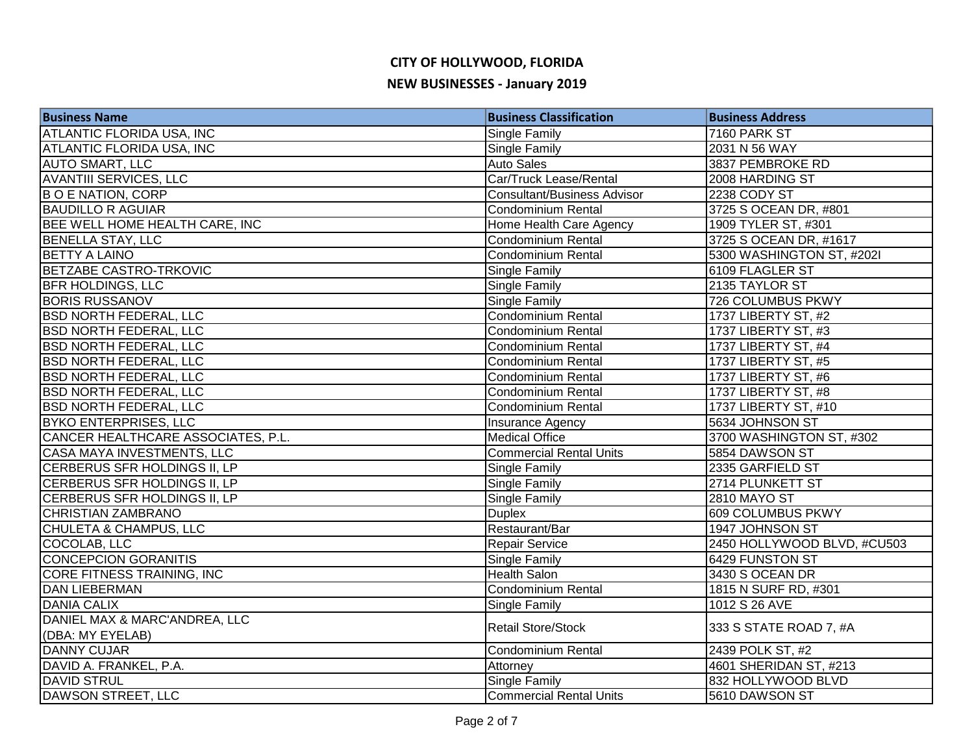# **CITY OF HOLLYWOOD, FLORIDA NEW BUSINESSES - January 2019**

| <b>Business Name</b>               | <b>Business Classification</b>     | <b>Business Address</b>     |
|------------------------------------|------------------------------------|-----------------------------|
| ATLANTIC FLORIDA USA, INC          | Single Family                      | 7160 PARK ST                |
| ATLANTIC FLORIDA USA, INC          | Single Family                      | 2031 N 56 WAY               |
| <b>AUTO SMART, LLC</b>             | <b>Auto Sales</b>                  | 3837 PEMBROKE RD            |
| <b>AVANTIII SERVICES, LLC</b>      | Car/Truck Lease/Rental             | 2008 HARDING ST             |
| <b>BO E NATION, CORP</b>           | <b>Consultant/Business Advisor</b> | 2238 CODY ST                |
| <b>BAUDILLO R AGUIAR</b>           | <b>Condominium Rental</b>          | 3725 S OCEAN DR, #801       |
| BEE WELL HOME HEALTH CARE, INC     | Home Health Care Agency            | 1909 TYLER ST, #301         |
| <b>BENELLA STAY, LLC</b>           | Condominium Rental                 | 3725 S OCEAN DR, #1617      |
| <b>BETTY A LAINO</b>               | Condominium Rental                 | 5300 WASHINGTON ST, #202I   |
| BETZABE CASTRO-TRKOVIC             | Single Family                      | 6109 FLAGLER ST             |
| <b>BFR HOLDINGS, LLC</b>           | Single Family                      | 2135 TAYLOR ST              |
| <b>BORIS RUSSANOV</b>              | Single Family                      | 726 COLUMBUS PKWY           |
| <b>BSD NORTH FEDERAL, LLC</b>      | Condominium Rental                 | 1737 LIBERTY ST, #2         |
| <b>BSD NORTH FEDERAL, LLC</b>      | <b>Condominium Rental</b>          | 1737 LIBERTY ST, #3         |
| <b>BSD NORTH FEDERAL, LLC</b>      | <b>Condominium Rental</b>          | 1737 LIBERTY ST, #4         |
| <b>BSD NORTH FEDERAL, LLC</b>      | <b>Condominium Rental</b>          | 1737 LIBERTY ST, #5         |
| <b>BSD NORTH FEDERAL, LLC</b>      | Condominium Rental                 | 1737 LIBERTY ST, #6         |
| <b>BSD NORTH FEDERAL, LLC</b>      | Condominium Rental                 | 1737 LIBERTY ST, #8         |
| <b>BSD NORTH FEDERAL, LLC</b>      | <b>Condominium Rental</b>          | 1737 LIBERTY ST, #10        |
| <b>BYKO ENTERPRISES, LLC</b>       | Insurance Agency                   | 5634 JOHNSON ST             |
| CANCER HEALTHCARE ASSOCIATES, P.L. | <b>Medical Office</b>              | 3700 WASHINGTON ST, #302    |
| CASA MAYA INVESTMENTS, LLC         | Commercial Rental Units            | 5854 DAWSON ST              |
| CERBERUS SFR HOLDINGS II, LP       | Single Family                      | 2335 GARFIELD ST            |
| CERBERUS SFR HOLDINGS II, LP       | Single Family                      | 2714 PLUNKETT ST            |
| CERBERUS SFR HOLDINGS II, LP       | Single Family                      | <b>2810 MAYO ST</b>         |
| <b>CHRISTIAN ZAMBRANO</b>          | <b>Duplex</b>                      | <b>609 COLUMBUS PKWY</b>    |
| CHULETA & CHAMPUS, LLC             | Restaurant/Bar                     | 1947 JOHNSON ST             |
| COCOLAB, LLC                       | <b>Repair Service</b>              | 2450 HOLLYWOOD BLVD, #CU503 |
| <b>CONCEPCION GORANITIS</b>        | Single Family                      | 6429 FUNSTON ST             |
| <b>CORE FITNESS TRAINING, INC</b>  | <b>Health Salon</b>                | 3430 S OCEAN DR             |
| <b>DAN LIEBERMAN</b>               | <b>Condominium Rental</b>          | 1815 N SURF RD, #301        |
| <b>DANIA CALIX</b>                 | Single Family                      | 1012 S 26 AVE               |
| DANIEL MAX & MARC'ANDREA, LLC      | <b>Retail Store/Stock</b>          | 333 S STATE ROAD 7, #A      |
| (DBA: MY EYELAB)                   |                                    |                             |
| <b>DANNY CUJAR</b>                 | Condominium Rental                 | 2439 POLK ST, #2            |
| DAVID A. FRANKEL, P.A.             | Attorney                           | 4601 SHERIDAN ST, #213      |
| <b>DAVID STRUL</b>                 | <b>Single Family</b>               | 832 HOLLYWOOD BLVD          |
| DAWSON STREET, LLC                 | <b>Commercial Rental Units</b>     | 5610 DAWSON ST              |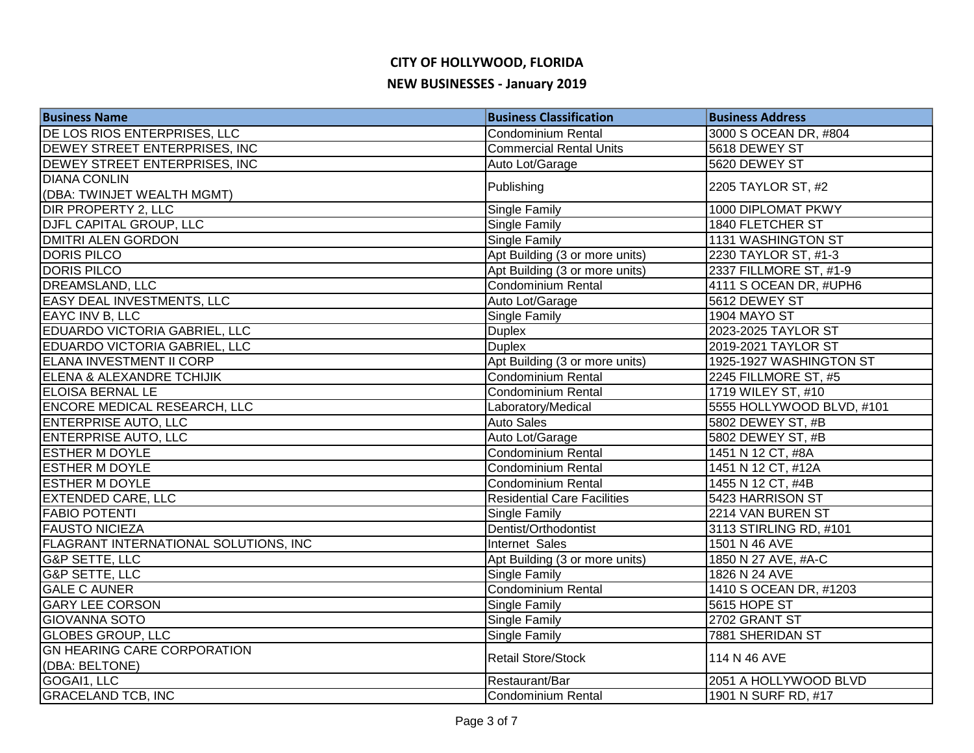| <b>Business Name</b>                  | <b>Business Classification</b>     | <b>Business Address</b>   |
|---------------------------------------|------------------------------------|---------------------------|
| DE LOS RIOS ENTERPRISES, LLC          | Condominium Rental                 | 3000 S OCEAN DR, #804     |
| DEWEY STREET ENTERPRISES, INC         | <b>Commercial Rental Units</b>     | 5618 DEWEY ST             |
| DEWEY STREET ENTERPRISES, INC         | Auto Lot/Garage                    | 5620 DEWEY ST             |
| <b>DIANA CONLIN</b>                   | Publishing                         | 2205 TAYLOR ST, #2        |
| (DBA: TWINJET WEALTH MGMT)            |                                    |                           |
| <b>DIR PROPERTY 2, LLC</b>            | Single Family                      | 1000 DIPLOMAT PKWY        |
| DJFL CAPITAL GROUP, LLC               | Single Family                      | 1840 FLETCHER ST          |
| <b>DMITRI ALEN GORDON</b>             | <b>Single Family</b>               | <b>1131 WASHINGTON ST</b> |
| <b>DORIS PILCO</b>                    | Apt Building (3 or more units)     | 2230 TAYLOR ST, #1-3      |
| <b>DORIS PILCO</b>                    | Apt Building (3 or more units)     | 2337 FILLMORE ST, #1-9    |
| DREAMSLAND, LLC                       | Condominium Rental                 | 4111 S OCEAN DR, #UPH6    |
| EASY DEAL INVESTMENTS, LLC            | Auto Lot/Garage                    | 5612 DEWEY ST             |
| EAYC INV B, LLC                       | Single Family                      | <b>1904 MAYO ST</b>       |
| EDUARDO VICTORIA GABRIEL, LLC         | <b>Duplex</b>                      | 2023-2025 TAYLOR ST       |
| EDUARDO VICTORIA GABRIEL, LLC         | <b>Duplex</b>                      | 2019-2021 TAYLOR ST       |
| <b>ELANA INVESTMENT II CORP</b>       | Apt Building (3 or more units)     | 1925-1927 WASHINGTON ST   |
| <b>ELENA &amp; ALEXANDRE TCHIJIK</b>  | Condominium Rental                 | 2245 FILLMORE ST, #5      |
| <b>ELOISA BERNAL LE</b>               | Condominium Rental                 | 1719 WILEY ST, #10        |
| <b>ENCORE MEDICAL RESEARCH, LLC</b>   | Laboratory/Medical                 | 5555 HOLLYWOOD BLVD, #101 |
| <b>ENTERPRISE AUTO, LLC</b>           | <b>Auto Sales</b>                  | 5802 DEWEY ST, #B         |
| <b>ENTERPRISE AUTO, LLC</b>           | Auto Lot/Garage                    | 5802 DEWEY ST, #B         |
| <b>ESTHER M DOYLE</b>                 | Condominium Rental                 | 1451 N 12 CT, #8A         |
| <b>ESTHER M DOYLE</b>                 | Condominium Rental                 | 1451 N 12 CT, #12A        |
| <b>ESTHER M DOYLE</b>                 | <b>Condominium Rental</b>          | 1455 N 12 CT, #4B         |
| <b>EXTENDED CARE, LLC</b>             | <b>Residential Care Facilities</b> | 5423 HARRISON ST          |
| <b>FABIO POTENTI</b>                  | Single Family                      | 2214 VAN BUREN ST         |
| <b>FAUSTO NICIEZA</b>                 | Dentist/Orthodontist               | 3113 STIRLING RD, #101    |
| FLAGRANT INTERNATIONAL SOLUTIONS, INC | Internet Sales                     | 1501 N 46 AVE             |
| <b>G&amp;P SETTE, LLC</b>             | Apt Building (3 or more units)     | 1850 N 27 AVE, #A-C       |
| <b>G&amp;P SETTE, LLC</b>             | <b>Single Family</b>               | 1826 N 24 AVE             |
| <b>GALE C AUNER</b>                   | Condominium Rental                 | 1410 S OCEAN DR, #1203    |
| <b>GARY LEE CORSON</b>                | Single Family                      | 5615 HOPE ST              |
| <b>GIOVANNA SOTO</b>                  | Single Family                      | 2702 GRANT ST             |
| <b>GLOBES GROUP, LLC</b>              | Single Family                      | 7881 SHERIDAN ST          |
| <b>GN HEARING CARE CORPORATION</b>    | Retail Store/Stock                 | 114 N 46 AVE              |
| (DBA: BELTONE)                        |                                    |                           |
| GOGAI1, LLC                           | Restaurant/Bar                     | 2051 A HOLLYWOOD BLVD     |
| <b>GRACELAND TCB, INC</b>             | Condominium Rental                 | 1901 N SURF RD, #17       |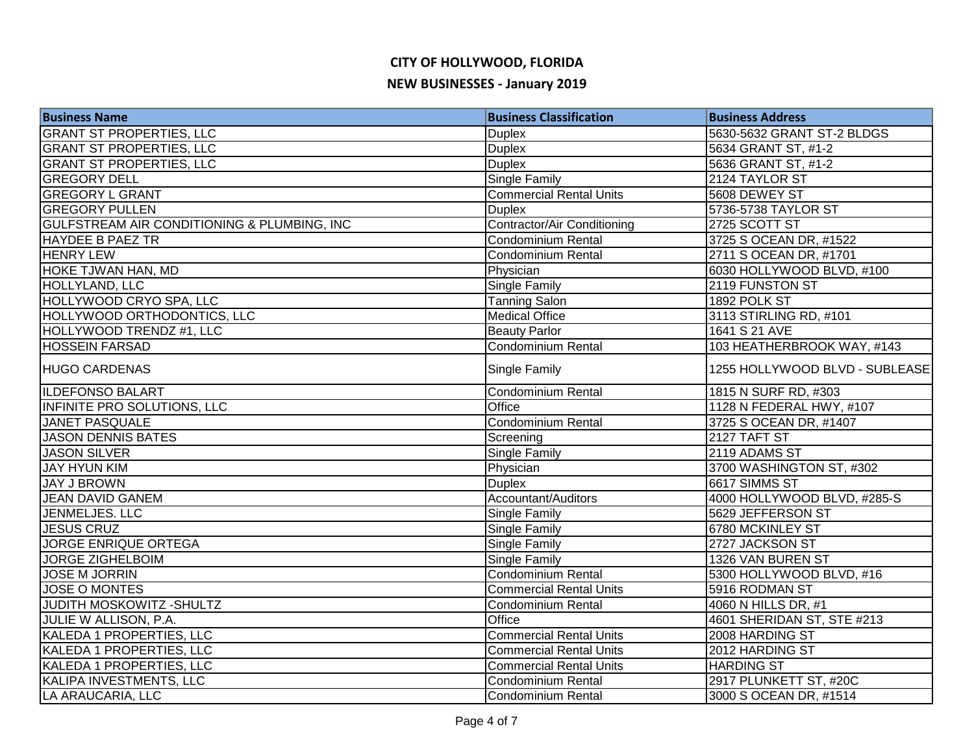| <b>Business Name</b>                                   | <b>Business Classification</b> | <b>Business Address</b>        |
|--------------------------------------------------------|--------------------------------|--------------------------------|
| <b>GRANT ST PROPERTIES, LLC</b>                        | <b>Duplex</b>                  | 5630-5632 GRANT ST-2 BLDGS     |
| <b>GRANT ST PROPERTIES, LLC</b>                        | <b>Duplex</b>                  | 5634 GRANT ST, #1-2            |
| <b>GRANT ST PROPERTIES, LLC</b>                        | <b>Duplex</b>                  | 5636 GRANT ST, #1-2            |
| <b>GREGORY DELL</b>                                    | <b>Single Family</b>           | 2124 TAYLOR ST                 |
| <b>GREGORY L GRANT</b>                                 | <b>Commercial Rental Units</b> | 5608 DEWEY ST                  |
| <b>GREGORY PULLEN</b>                                  | <b>Duplex</b>                  | 5736-5738 TAYLOR ST            |
| <b>GULFSTREAM AIR CONDITIONING &amp; PLUMBING, INC</b> | Contractor/Air Conditioning    | 2725 SCOTT ST                  |
| <b>HAYDEE B PAEZ TR</b>                                | <b>Condominium Rental</b>      | 3725 S OCEAN DR, #1522         |
| <b>HENRY LEW</b>                                       | Condominium Rental             | 2711 S OCEAN DR, #1701         |
| HOKE TJWAN HAN, MD                                     | Physician                      | 6030 HOLLYWOOD BLVD, #100      |
| HOLLYLAND, LLC                                         | Single Family                  | 2119 FUNSTON ST                |
| HOLLYWOOD CRYO SPA, LLC                                | <b>Tanning Salon</b>           | 1892 POLK ST                   |
| HOLLYWOOD ORTHODONTICS, LLC                            | <b>Medical Office</b>          | 3113 STIRLING RD, #101         |
| HOLLYWOOD TRENDZ #1, LLC                               | <b>Beauty Parlor</b>           | 1641 S 21 AVE                  |
| <b>HOSSEIN FARSAD</b>                                  | <b>Condominium Rental</b>      | 103 HEATHERBROOK WAY, #143     |
| <b>HUGO CARDENAS</b>                                   | Single Family                  | 1255 HOLLYWOOD BLVD - SUBLEASE |
| <b>ILDEFONSO BALART</b>                                | Condominium Rental             | 1815 N SURF RD, #303           |
| <b>INFINITE PRO SOLUTIONS, LLC</b>                     | Office                         | 1128 N FEDERAL HWY, #107       |
| <b>JANET PASQUALE</b>                                  | Condominium Rental             | 3725 S OCEAN DR, #1407         |
| <b>JASON DENNIS BATES</b>                              | Screening                      | 2127 TAFT ST                   |
| <b>JASON SILVER</b>                                    | Single Family                  | 2119 ADAMS ST                  |
| <b>JAY HYUN KIM</b>                                    | Physician                      | 3700 WASHINGTON ST, #302       |
| <b>JAY J BROWN</b>                                     | <b>Duplex</b>                  | 6617 SIMMS ST                  |
| JEAN DAVID GANEM                                       | Accountant/Auditors            | 4000 HOLLYWOOD BLVD, #285-S    |
| <b>JENMELJES. LLC</b>                                  | Single Family                  | 5629 JEFFERSON ST              |
| <b>JESUS CRUZ</b>                                      | Single Family                  | 6780 MCKINLEY ST               |
| JORGE ENRIQUE ORTEGA                                   | Single Family                  | 2727 JACKSON ST                |
| <b>JORGE ZIGHELBOIM</b>                                | <b>Single Family</b>           | 1326 VAN BUREN ST              |
| <b>JOSE M JORRIN</b>                                   | <b>Condominium Rental</b>      | 5300 HOLLYWOOD BLVD, #16       |
| <b>JOSE O MONTES</b>                                   | <b>Commercial Rental Units</b> | 5916 RODMAN ST                 |
| JUDITH MOSKOWITZ - SHULTZ                              | Condominium Rental             | 4060 N HILLS DR, #1            |
| JULIE W ALLISON, P.A.                                  | Office                         | 4601 SHERIDAN ST, STE #213     |
| KALEDA 1 PROPERTIES, LLC                               | <b>Commercial Rental Units</b> | 2008 HARDING ST                |
| KALEDA 1 PROPERTIES, LLC                               | <b>Commercial Rental Units</b> | 2012 HARDING ST                |
| KALEDA 1 PROPERTIES, LLC                               | <b>Commercial Rental Units</b> | <b>HARDING ST</b>              |
| KALIPA INVESTMENTS, LLC                                | Condominium Rental             | 2917 PLUNKETT ST, #20C         |
| LA ARAUCARIA, LLC                                      | Condominium Rental             | 3000 S OCEAN DR, #1514         |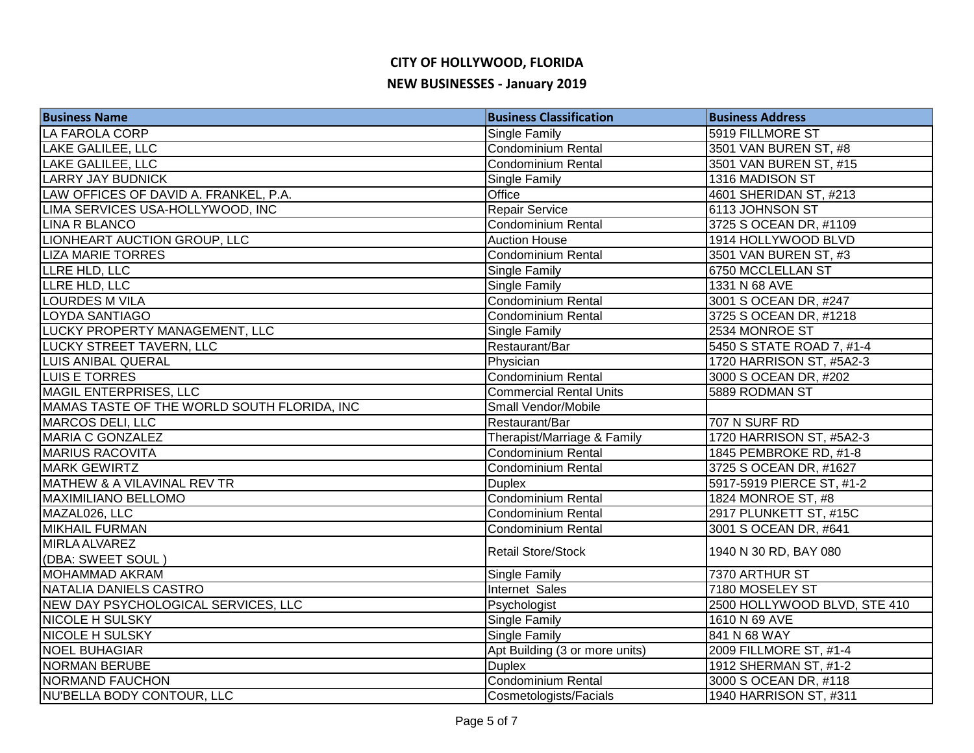| <b>Business Name</b>                        | <b>Business Classification</b> | <b>Business Address</b>      |
|---------------------------------------------|--------------------------------|------------------------------|
| LA FAROLA CORP                              | Single Family                  | 5919 FILLMORE ST             |
| <b>LAKE GALILEE, LLC</b>                    | <b>Condominium Rental</b>      | 3501 VAN BUREN ST, #8        |
| LAKE GALILEE, LLC                           | <b>Condominium Rental</b>      | 3501 VAN BUREN ST, #15       |
| <b>LARRY JAY BUDNICK</b>                    | Single Family                  | 1316 MADISON ST              |
| LAW OFFICES OF DAVID A. FRANKEL, P.A.       | Office                         | 4601 SHERIDAN ST, #213       |
| LIMA SERVICES USA-HOLLYWOOD, INC            | Repair Service                 | 6113 JOHNSON ST              |
| <b>LINA R BLANCO</b>                        | Condominium Rental             | 3725 S OCEAN DR, #1109       |
| LIONHEART AUCTION GROUP, LLC                | <b>Auction House</b>           | 1914 HOLLYWOOD BLVD          |
| <b>LIZA MARIE TORRES</b>                    | <b>Condominium Rental</b>      | 3501 VAN BUREN ST, #3        |
| LLRE HLD, LLC                               | Single Family                  | 6750 MCCLELLAN ST            |
| LLRE HLD, LLC                               | Single Family                  | 1331 N 68 AVE                |
| <b>LOURDES M VILA</b>                       | Condominium Rental             | 3001 S OCEAN DR, #247        |
| LOYDA SANTIAGO                              | <b>Condominium Rental</b>      | 3725 S OCEAN DR, #1218       |
| LUCKY PROPERTY MANAGEMENT, LLC              | Single Family                  | 2534 MONROE ST               |
| LUCKY STREET TAVERN, LLC                    | Restaurant/Bar                 | 5450 S STATE ROAD 7, #1-4    |
| <b>LUIS ANIBAL QUERAL</b>                   | Physician                      | 1720 HARRISON ST, #5A2-3     |
| LUIS E TORRES                               | Condominium Rental             | 3000 S OCEAN DR, #202        |
| MAGIL ENTERPRISES, LLC                      | <b>Commercial Rental Units</b> | 5889 RODMAN ST               |
| MAMAS TASTE OF THE WORLD SOUTH FLORIDA, INC | Small Vendor/Mobile            |                              |
| MARCOS DELI, LLC                            | Restaurant/Bar                 | 707 N SURF RD                |
| <b>MARIA C GONZALEZ</b>                     | Therapist/Marriage & Family    | 1720 HARRISON ST, #5A2-3     |
| <b>MARIUS RACOVITA</b>                      | Condominium Rental             | 1845 PEMBROKE RD, #1-8       |
| <b>MARK GEWIRTZ</b>                         | Condominium Rental             | 3725 S OCEAN DR, #1627       |
| MATHEW & A VILAVINAL REV TR                 | <b>Duplex</b>                  | 5917-5919 PIERCE ST, #1-2    |
| <b>MAXIMILIANO BELLOMO</b>                  | Condominium Rental             | 1824 MONROE ST, #8           |
| MAZAL026, LLC                               | <b>Condominium Rental</b>      | 2917 PLUNKETT ST, #15C       |
| <b>MIKHAIL FURMAN</b>                       | Condominium Rental             | 3001 S OCEAN DR, #641        |
| <b>MIRLA ALVAREZ</b>                        | <b>Retail Store/Stock</b>      | 1940 N 30 RD, BAY 080        |
| (DBA: SWEET SOUL)                           |                                |                              |
| <b>MOHAMMAD AKRAM</b>                       | Single Family                  | 7370 ARTHUR ST               |
| NATALIA DANIELS CASTRO                      | Internet Sales                 | 7180 MOSELEY ST              |
| NEW DAY PSYCHOLOGICAL SERVICES, LLC         | Psychologist                   | 2500 HOLLYWOOD BLVD, STE 410 |
| <b>NICOLE H SULSKY</b>                      | Single Family                  | 1610 N 69 AVE                |
| <b>NICOLE H SULSKY</b>                      | Single Family                  | 841 N 68 WAY                 |
| <b>NOEL BUHAGIAR</b>                        | Apt Building (3 or more units) | 2009 FILLMORE ST, #1-4       |
| <b>NORMAN BERUBE</b>                        | <b>Duplex</b>                  | 1912 SHERMAN ST, #1-2        |
| <b>NORMAND FAUCHON</b>                      | Condominium Rental             | 3000 S OCEAN DR, #118        |
| NU'BELLA BODY CONTOUR, LLC                  | Cosmetologists/Facials         | 1940 HARRISON ST, #311       |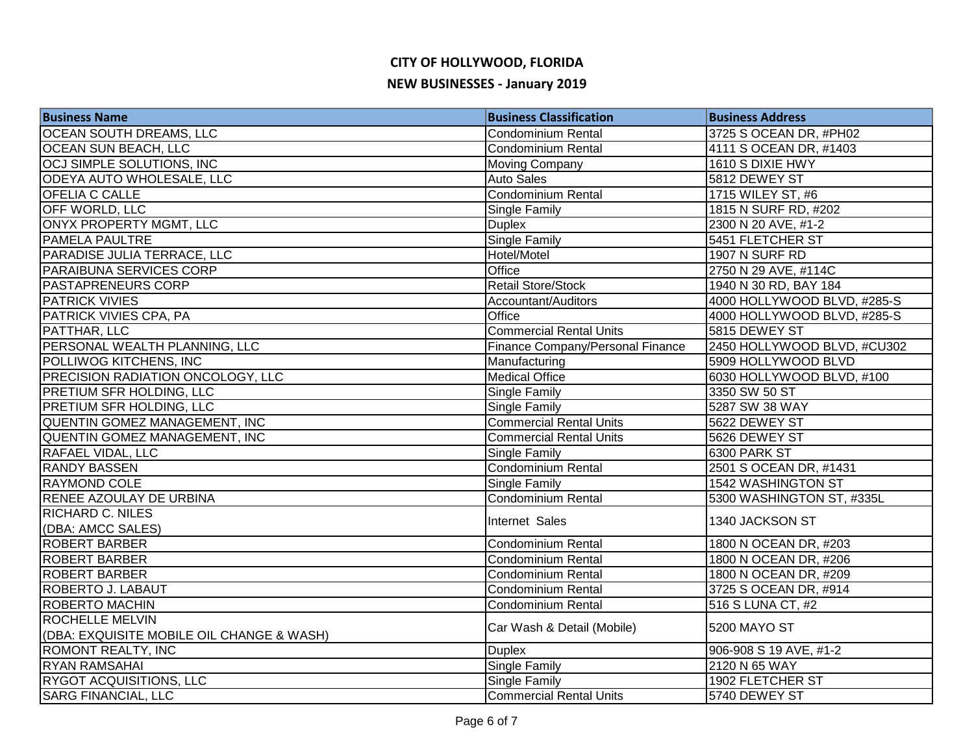# **CITY OF HOLLYWOOD, FLORIDA NEW BUSINESSES - January 2019**

| <b>Business Name</b>                      | <b>Business Classification</b>   | <b>Business Address</b>     |
|-------------------------------------------|----------------------------------|-----------------------------|
| <b>OCEAN SOUTH DREAMS, LLC</b>            | <b>Condominium Rental</b>        | 3725 S OCEAN DR, #PH02      |
| <b>OCEAN SUN BEACH, LLC</b>               | Condominium Rental               | 4111 S OCEAN DR, #1403      |
| OCJ SIMPLE SOLUTIONS, INC                 | Moving Company                   | 1610 S DIXIE HWY            |
| ODEYA AUTO WHOLESALE, LLC                 | <b>Auto Sales</b>                | 5812 DEWEY ST               |
| <b>OFELIA C CALLE</b>                     | <b>Condominium Rental</b>        | 1715 WILEY ST, #6           |
| <b>OFF WORLD, LLC</b>                     | Single Family                    | 1815 N SURF RD, #202        |
| <b>ONYX PROPERTY MGMT, LLC</b>            | <b>Duplex</b>                    | 2300 N 20 AVE, #1-2         |
| <b>PAMELA PAULTRE</b>                     | <b>Single Family</b>             | 5451 FLETCHER ST            |
| PARADISE JULIA TERRACE, LLC               | Hotel/Motel                      | 1907 N SURF RD              |
| <b>PARAIBUNA SERVICES CORP</b>            | Office                           | 2750 N 29 AVE, #114C        |
| <b>PASTAPRENEURS CORP</b>                 | <b>Retail Store/Stock</b>        | 1940 N 30 RD, BAY 184       |
| <b>PATRICK VIVIES</b>                     | Accountant/Auditors              | 4000 HOLLYWOOD BLVD, #285-S |
| <b>PATRICK VIVIES CPA, PA</b>             | Office                           | 4000 HOLLYWOOD BLVD, #285-S |
| <b>PATTHAR, LLC</b>                       | <b>Commercial Rental Units</b>   | 5815 DEWEY ST               |
| PERSONAL WEALTH PLANNING, LLC             | Finance Company/Personal Finance | 2450 HOLLYWOOD BLVD, #CU302 |
| POLLIWOG KITCHENS, INC                    | Manufacturing                    | 5909 HOLLYWOOD BLVD         |
| <b>PRECISION RADIATION ONCOLOGY, LLC</b>  | <b>Medical Office</b>            | 6030 HOLLYWOOD BLVD, #100   |
| <b>PRETIUM SFR HOLDING, LLC</b>           | Single Family                    | 3350 SW 50 ST               |
| <b>PRETIUM SFR HOLDING, LLC</b>           | Single Family                    | 5287 SW 38 WAY              |
| QUENTIN GOMEZ MANAGEMENT, INC             | <b>Commercial Rental Units</b>   | 5622 DEWEY ST               |
| QUENTIN GOMEZ MANAGEMENT, INC             | <b>Commercial Rental Units</b>   | 5626 DEWEY ST               |
| <b>RAFAEL VIDAL, LLC</b>                  | Single Family                    | 6300 PARK ST                |
| <b>RANDY BASSEN</b>                       | Condominium Rental               | 2501 S OCEAN DR, #1431      |
| <b>RAYMOND COLE</b>                       | Single Family                    | 1542 WASHINGTON ST          |
| <b>RENEE AZOULAY DE URBINA</b>            | Condominium Rental               | 5300 WASHINGTON ST, #335L   |
| <b>RICHARD C. NILES</b>                   | Internet Sales                   | 1340 JACKSON ST             |
| (DBA: AMCC SALES)                         |                                  |                             |
| <b>ROBERT BARBER</b>                      | <b>Condominium Rental</b>        | 1800 N OCEAN DR, #203       |
| <b>ROBERT BARBER</b>                      | Condominium Rental               | 1800 N OCEAN DR, #206       |
| <b>ROBERT BARBER</b>                      | <b>Condominium Rental</b>        | 1800 N OCEAN DR, #209       |
| <b>ROBERTO J. LABAUT</b>                  | Condominium Rental               | 3725 S OCEAN DR, #914       |
| <b>ROBERTO MACHIN</b>                     | <b>Condominium Rental</b>        | 516 S LUNA CT, #2           |
| <b>ROCHELLE MELVIN</b>                    | Car Wash & Detail (Mobile)       | 5200 MAYO ST                |
| (DBA: EXQUISITE MOBILE OIL CHANGE & WASH) |                                  |                             |
| <b>ROMONT REALTY, INC</b>                 | <b>Duplex</b>                    | 906-908 S 19 AVE, #1-2      |
| <b>RYAN RAMSAHAI</b>                      | <b>Single Family</b>             | 2120 N 65 WAY               |
| <b>RYGOT ACQUISITIONS, LLC</b>            | Single Family                    | 1902 FLETCHER ST            |
| <b>SARG FINANCIAL, LLC</b>                | <b>Commercial Rental Units</b>   | 5740 DEWEY ST               |